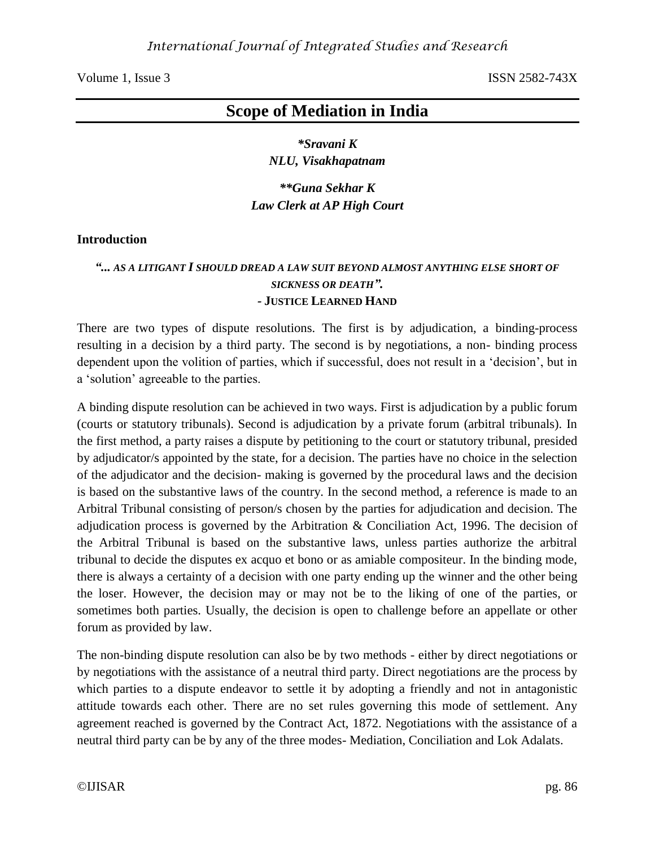# **Scope of Mediation in India**

*\*Sravani K NLU, Visakhapatnam*

*\*\*Guna Sekhar K Law Clerk at AP High Court*

### **Introduction**

# *"... AS A LITIGANT I SHOULD DREAD A LAW SUIT BEYOND ALMOST ANYTHING ELSE SHORT OF SICKNESS OR DEATH". -* **JUSTICE LEARNED HAND**

There are two types of dispute resolutions. The first is by adjudication, a binding-process resulting in a decision by a third party. The second is by negotiations, a non- binding process dependent upon the volition of parties, which if successful, does not result in a 'decision', but in a 'solution' agreeable to the parties.

A binding dispute resolution can be achieved in two ways. First is adjudication by a public forum (courts or statutory tribunals). Second is adjudication by a private forum (arbitral tribunals). In the first method, a party raises a dispute by petitioning to the court or statutory tribunal, presided by adjudicator/s appointed by the state, for a decision. The parties have no choice in the selection of the adjudicator and the decision- making is governed by the procedural laws and the decision is based on the substantive laws of the country. In the second method, a reference is made to an Arbitral Tribunal consisting of person/s chosen by the parties for adjudication and decision. The adjudication process is governed by the Arbitration & Conciliation Act, 1996. The decision of the Arbitral Tribunal is based on the substantive laws, unless parties authorize the arbitral tribunal to decide the disputes ex acquo et bono or as amiable compositeur. In the binding mode, there is always a certainty of a decision with one party ending up the winner and the other being the loser. However, the decision may or may not be to the liking of one of the parties, or sometimes both parties. Usually, the decision is open to challenge before an appellate or other forum as provided by law.

The non-binding dispute resolution can also be by two methods - either by direct negotiations or by negotiations with the assistance of a neutral third party. Direct negotiations are the process by which parties to a dispute endeavor to settle it by adopting a friendly and not in antagonistic attitude towards each other. There are no set rules governing this mode of settlement. Any agreement reached is governed by the Contract Act, 1872. Negotiations with the assistance of a neutral third party can be by any of the three modes- Mediation, Conciliation and Lok Adalats.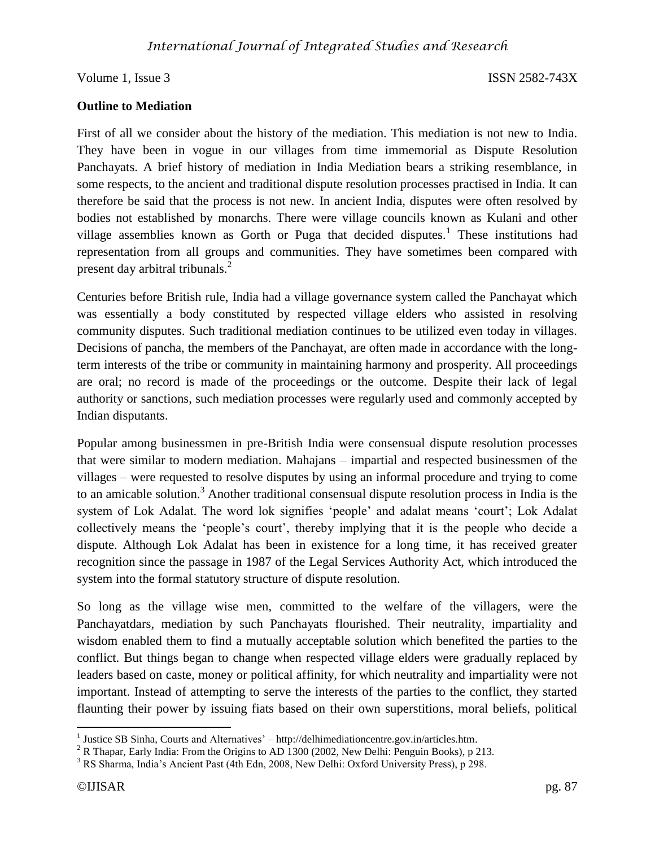## **Outline to Mediation**

First of all we consider about the history of the mediation. This mediation is not new to India. They have been in vogue in our villages from time immemorial as Dispute Resolution Panchayats. A brief history of mediation in India Mediation bears a striking resemblance, in some respects, to the ancient and traditional dispute resolution processes practised in India. It can therefore be said that the process is not new. In ancient India, disputes were often resolved by bodies not established by monarchs. There were village councils known as Kulani and other village assemblies known as Gorth or Puga that decided disputes.<sup>1</sup> These institutions had representation from all groups and communities. They have sometimes been compared with present day arbitral tribunals.<sup>2</sup>

Centuries before British rule, India had a village governance system called the Panchayat which was essentially a body constituted by respected village elders who assisted in resolving community disputes. Such traditional mediation continues to be utilized even today in villages. Decisions of pancha, the members of the Panchayat, are often made in accordance with the longterm interests of the tribe or community in maintaining harmony and prosperity. All proceedings are oral; no record is made of the proceedings or the outcome. Despite their lack of legal authority or sanctions, such mediation processes were regularly used and commonly accepted by Indian disputants.

Popular among businessmen in pre-British India were consensual dispute resolution processes that were similar to modern mediation. Mahajans – impartial and respected businessmen of the villages – were requested to resolve disputes by using an informal procedure and trying to come to an amicable solution.<sup>3</sup> Another traditional consensual dispute resolution process in India is the system of Lok Adalat. The word lok signifies 'people' and adalat means 'court'; Lok Adalat collectively means the 'people's court', thereby implying that it is the people who decide a dispute. Although Lok Adalat has been in existence for a long time, it has received greater recognition since the passage in 1987 of the Legal Services Authority Act, which introduced the system into the formal statutory structure of dispute resolution.

So long as the village wise men, committed to the welfare of the villagers, were the Panchayatdars, mediation by such Panchayats flourished. Their neutrality, impartiality and wisdom enabled them to find a mutually acceptable solution which benefited the parties to the conflict. But things began to change when respected village elders were gradually replaced by leaders based on caste, money or political affinity, for which neutrality and impartiality were not important. Instead of attempting to serve the interests of the parties to the conflict, they started flaunting their power by issuing fiats based on their own superstitions, moral beliefs, political

 1 Justice SB Sinha, Courts and Alternatives' – http://delhimediationcentre.gov.in/articles.htm.

<sup>&</sup>lt;sup>2</sup> R Thapar, Early India: From the Origins to AD 1300 (2002, New Delhi: Penguin Books), p 213.

<sup>3</sup> RS Sharma, India's Ancient Past (4th Edn, 2008, New Delhi: Oxford University Press), p 298.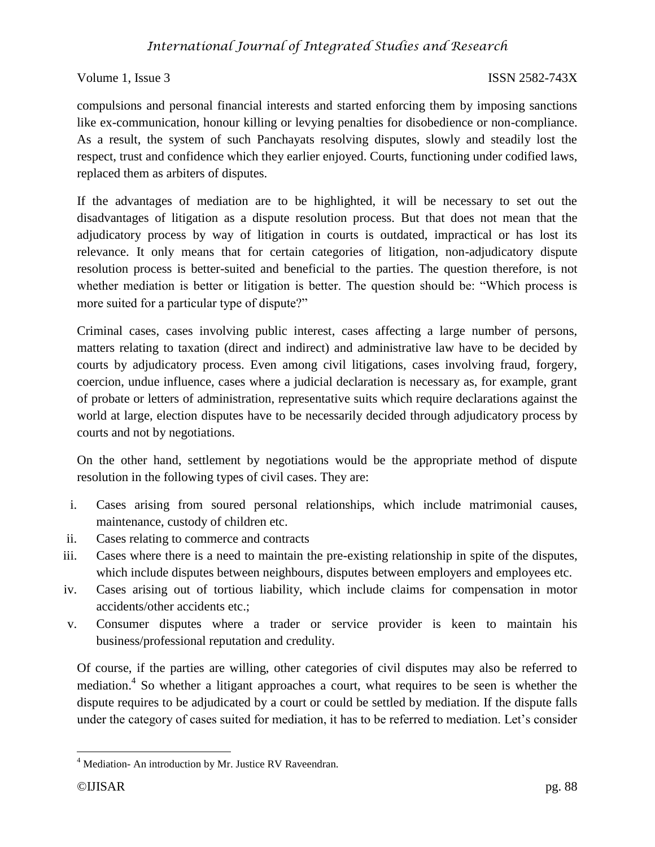# *International Journal of Integrated Studies and Research*

Volume 1, Issue 3 ISSN 2582-743X

compulsions and personal financial interests and started enforcing them by imposing sanctions like ex-communication, honour killing or levying penalties for disobedience or non-compliance. As a result, the system of such Panchayats resolving disputes, slowly and steadily lost the respect, trust and confidence which they earlier enjoyed. Courts, functioning under codified laws, replaced them as arbiters of disputes.

If the advantages of mediation are to be highlighted, it will be necessary to set out the disadvantages of litigation as a dispute resolution process. But that does not mean that the adjudicatory process by way of litigation in courts is outdated, impractical or has lost its relevance. It only means that for certain categories of litigation, non-adjudicatory dispute resolution process is better-suited and beneficial to the parties. The question therefore, is not whether mediation is better or litigation is better. The question should be: "Which process is more suited for a particular type of dispute?"

Criminal cases, cases involving public interest, cases affecting a large number of persons, matters relating to taxation (direct and indirect) and administrative law have to be decided by courts by adjudicatory process. Even among civil litigations, cases involving fraud, forgery, coercion, undue influence, cases where a judicial declaration is necessary as, for example, grant of probate or letters of administration, representative suits which require declarations against the world at large, election disputes have to be necessarily decided through adjudicatory process by courts and not by negotiations.

On the other hand, settlement by negotiations would be the appropriate method of dispute resolution in the following types of civil cases. They are:

- i. Cases arising from soured personal relationships, which include matrimonial causes, maintenance, custody of children etc.
- ii. Cases relating to commerce and contracts
- iii. Cases where there is a need to maintain the pre-existing relationship in spite of the disputes, which include disputes between neighbours, disputes between employers and employees etc.
- iv. Cases arising out of tortious liability, which include claims for compensation in motor accidents/other accidents etc.;
- v. Consumer disputes where a trader or service provider is keen to maintain his business/professional reputation and credulity.

Of course, if the parties are willing, other categories of civil disputes may also be referred to mediation.<sup>4</sup> So whether a litigant approaches a court, what requires to be seen is whether the dispute requires to be adjudicated by a court or could be settled by mediation. If the dispute falls under the category of cases suited for mediation, it has to be referred to mediation. Let's consider

 $4$  Mediation- An introduction by Mr. Justice RV Raveendran.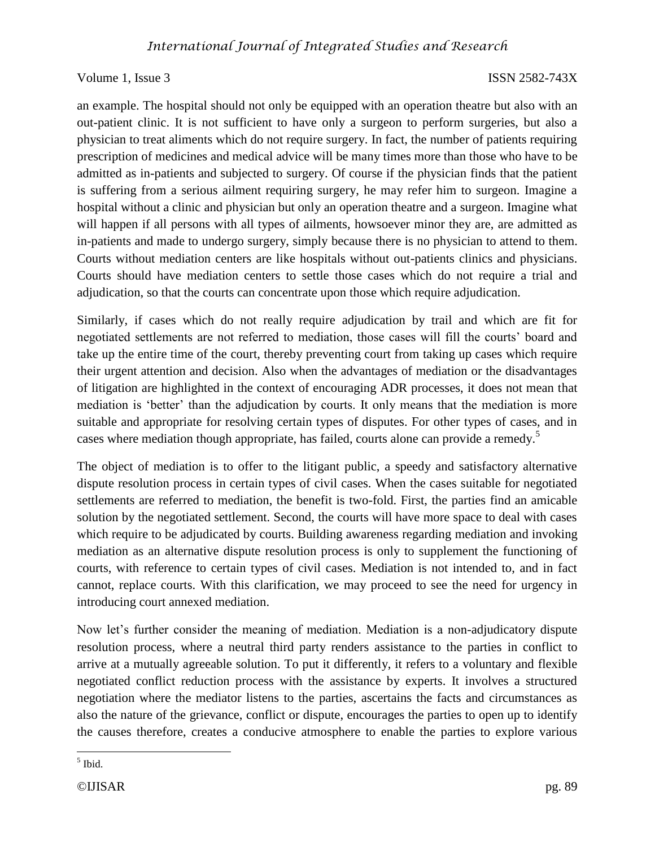an example. The hospital should not only be equipped with an operation theatre but also with an out-patient clinic. It is not sufficient to have only a surgeon to perform surgeries, but also a physician to treat aliments which do not require surgery. In fact, the number of patients requiring prescription of medicines and medical advice will be many times more than those who have to be admitted as in-patients and subjected to surgery. Of course if the physician finds that the patient is suffering from a serious ailment requiring surgery, he may refer him to surgeon. Imagine a hospital without a clinic and physician but only an operation theatre and a surgeon. Imagine what will happen if all persons with all types of ailments, howsoever minor they are, are admitted as in-patients and made to undergo surgery, simply because there is no physician to attend to them. Courts without mediation centers are like hospitals without out-patients clinics and physicians. Courts should have mediation centers to settle those cases which do not require a trial and adjudication, so that the courts can concentrate upon those which require adjudication.

Similarly, if cases which do not really require adjudication by trail and which are fit for negotiated settlements are not referred to mediation, those cases will fill the courts' board and take up the entire time of the court, thereby preventing court from taking up cases which require their urgent attention and decision. Also when the advantages of mediation or the disadvantages of litigation are highlighted in the context of encouraging ADR processes, it does not mean that mediation is 'better' than the adjudication by courts. It only means that the mediation is more suitable and appropriate for resolving certain types of disputes. For other types of cases, and in cases where mediation though appropriate, has failed, courts alone can provide a remedy.<sup>5</sup>

The object of mediation is to offer to the litigant public, a speedy and satisfactory alternative dispute resolution process in certain types of civil cases. When the cases suitable for negotiated settlements are referred to mediation, the benefit is two-fold. First, the parties find an amicable solution by the negotiated settlement. Second, the courts will have more space to deal with cases which require to be adjudicated by courts. Building awareness regarding mediation and invoking mediation as an alternative dispute resolution process is only to supplement the functioning of courts, with reference to certain types of civil cases. Mediation is not intended to, and in fact cannot, replace courts. With this clarification, we may proceed to see the need for urgency in introducing court annexed mediation.

Now let's further consider the meaning of mediation. Mediation is a non-adjudicatory dispute resolution process, where a neutral third party renders assistance to the parties in conflict to arrive at a mutually agreeable solution. To put it differently, it refers to a voluntary and flexible negotiated conflict reduction process with the assistance by experts. It involves a structured negotiation where the mediator listens to the parties, ascertains the facts and circumstances as also the nature of the grievance, conflict or dispute, encourages the parties to open up to identify the causes therefore, creates a conducive atmosphere to enable the parties to explore various

 $\overline{\phantom{a}}$ 5 Ibid.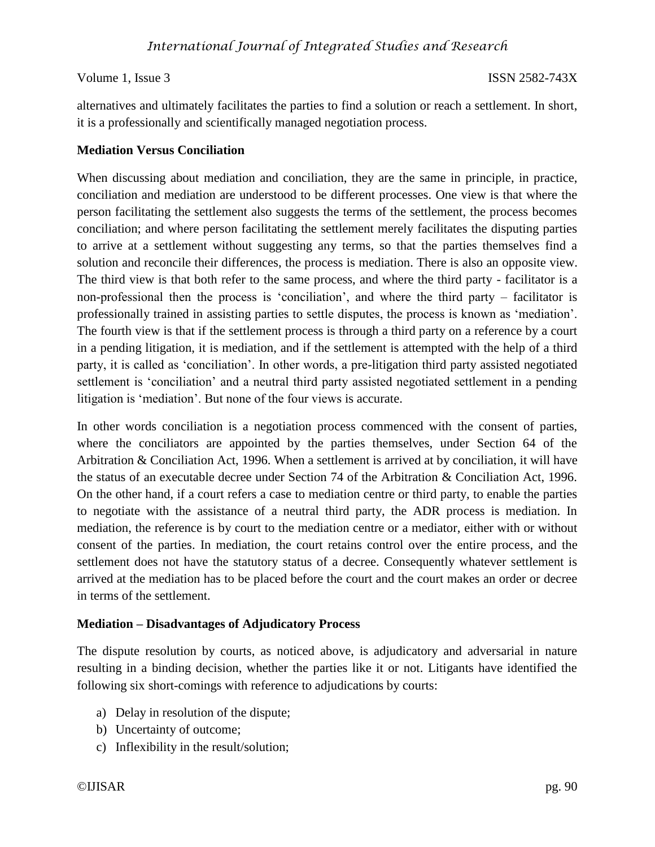alternatives and ultimately facilitates the parties to find a solution or reach a settlement. In short, it is a professionally and scientifically managed negotiation process.

### **Mediation Versus Conciliation**

When discussing about mediation and conciliation, they are the same in principle, in practice, conciliation and mediation are understood to be different processes. One view is that where the person facilitating the settlement also suggests the terms of the settlement, the process becomes conciliation; and where person facilitating the settlement merely facilitates the disputing parties to arrive at a settlement without suggesting any terms, so that the parties themselves find a solution and reconcile their differences, the process is mediation. There is also an opposite view. The third view is that both refer to the same process, and where the third party - facilitator is a non-professional then the process is 'conciliation', and where the third party – facilitator is professionally trained in assisting parties to settle disputes, the process is known as 'mediation'. The fourth view is that if the settlement process is through a third party on a reference by a court in a pending litigation, it is mediation, and if the settlement is attempted with the help of a third party, it is called as 'conciliation'. In other words, a pre-litigation third party assisted negotiated settlement is 'conciliation' and a neutral third party assisted negotiated settlement in a pending litigation is 'mediation'. But none of the four views is accurate.

In other words conciliation is a negotiation process commenced with the consent of parties, where the conciliators are appointed by the parties themselves, under Section 64 of the Arbitration & Conciliation Act, 1996. When a settlement is arrived at by conciliation, it will have the status of an executable decree under Section 74 of the Arbitration & Conciliation Act, 1996. On the other hand, if a court refers a case to mediation centre or third party, to enable the parties to negotiate with the assistance of a neutral third party, the ADR process is mediation. In mediation, the reference is by court to the mediation centre or a mediator, either with or without consent of the parties. In mediation, the court retains control over the entire process, and the settlement does not have the statutory status of a decree. Consequently whatever settlement is arrived at the mediation has to be placed before the court and the court makes an order or decree in terms of the settlement.

### **Mediation – Disadvantages of Adjudicatory Process**

The dispute resolution by courts, as noticed above, is adjudicatory and adversarial in nature resulting in a binding decision, whether the parties like it or not. Litigants have identified the following six short-comings with reference to adjudications by courts:

- a) Delay in resolution of the dispute;
- b) Uncertainty of outcome;
- c) Inflexibility in the result/solution;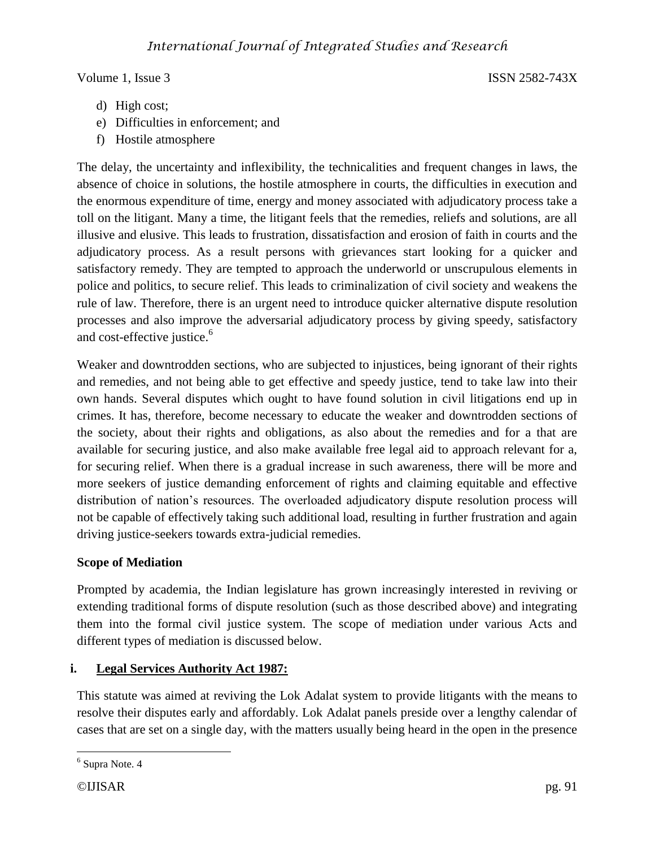- d) High cost;
- e) Difficulties in enforcement; and
- f) Hostile atmosphere

The delay, the uncertainty and inflexibility, the technicalities and frequent changes in laws, the absence of choice in solutions, the hostile atmosphere in courts, the difficulties in execution and the enormous expenditure of time, energy and money associated with adjudicatory process take a toll on the litigant. Many a time, the litigant feels that the remedies, reliefs and solutions, are all illusive and elusive. This leads to frustration, dissatisfaction and erosion of faith in courts and the adjudicatory process. As a result persons with grievances start looking for a quicker and satisfactory remedy. They are tempted to approach the underworld or unscrupulous elements in police and politics, to secure relief. This leads to criminalization of civil society and weakens the rule of law. Therefore, there is an urgent need to introduce quicker alternative dispute resolution processes and also improve the adversarial adjudicatory process by giving speedy, satisfactory and cost-effective justice.<sup>6</sup>

Weaker and downtrodden sections, who are subjected to injustices, being ignorant of their rights and remedies, and not being able to get effective and speedy justice, tend to take law into their own hands. Several disputes which ought to have found solution in civil litigations end up in crimes. It has, therefore, become necessary to educate the weaker and downtrodden sections of the society, about their rights and obligations, as also about the remedies and for a that are available for securing justice, and also make available free legal aid to approach relevant for a, for securing relief. When there is a gradual increase in such awareness, there will be more and more seekers of justice demanding enforcement of rights and claiming equitable and effective distribution of nation's resources. The overloaded adjudicatory dispute resolution process will not be capable of effectively taking such additional load, resulting in further frustration and again driving justice-seekers towards extra-judicial remedies.

### **Scope of Mediation**

Prompted by academia, the Indian legislature has grown increasingly interested in reviving or extending traditional forms of dispute resolution (such as those described above) and integrating them into the formal civil justice system. The scope of mediation under various Acts and different types of mediation is discussed below.

# **i. Legal Services Authority Act 1987:**

This statute was aimed at reviving the Lok Adalat system to provide litigants with the means to resolve their disputes early and affordably. Lok Adalat panels preside over a lengthy calendar of cases that are set on a single day, with the matters usually being heard in the open in the presence

<sup>&</sup>lt;sup>6</sup> Supra Note. 4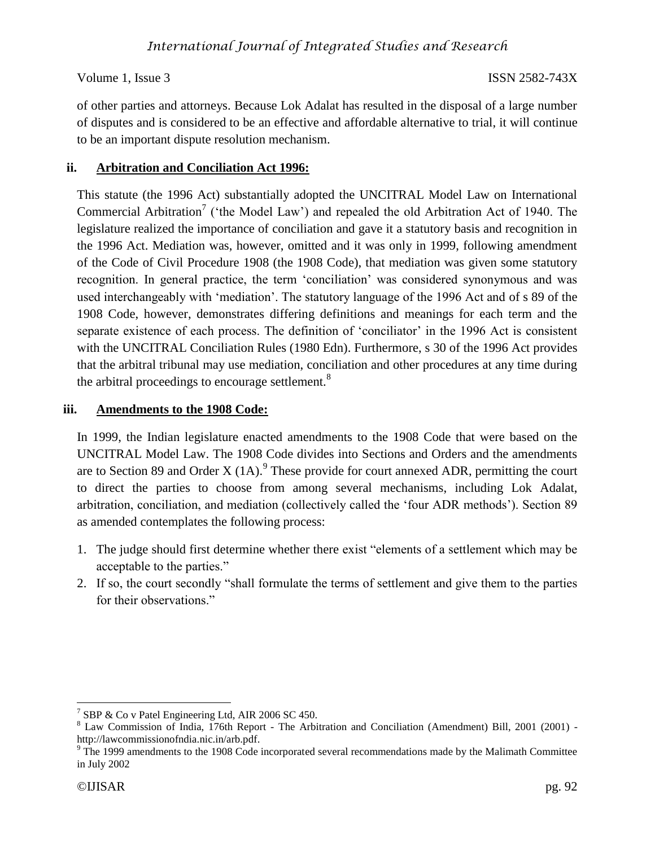of other parties and attorneys. Because Lok Adalat has resulted in the disposal of a large number of disputes and is considered to be an effective and affordable alternative to trial, it will continue to be an important dispute resolution mechanism.

# **ii. Arbitration and Conciliation Act 1996:**

This statute (the 1996 Act) substantially adopted the UNCITRAL Model Law on International Commercial Arbitration<sup>7</sup> ('the Model Law') and repealed the old Arbitration Act of 1940. The legislature realized the importance of conciliation and gave it a statutory basis and recognition in the 1996 Act. Mediation was, however, omitted and it was only in 1999, following amendment of the Code of Civil Procedure 1908 (the 1908 Code), that mediation was given some statutory recognition. In general practice, the term 'conciliation' was considered synonymous and was used interchangeably with 'mediation'. The statutory language of the 1996 Act and of s 89 of the 1908 Code, however, demonstrates differing definitions and meanings for each term and the separate existence of each process. The definition of 'conciliator' in the 1996 Act is consistent with the UNCITRAL Conciliation Rules (1980 Edn). Furthermore, s 30 of the 1996 Act provides that the arbitral tribunal may use mediation, conciliation and other procedures at any time during the arbitral proceedings to encourage settlement.<sup>8</sup>

# **iii. Amendments to the 1908 Code:**

In 1999, the Indian legislature enacted amendments to the 1908 Code that were based on the UNCITRAL Model Law. The 1908 Code divides into Sections and Orders and the amendments are to Section 89 and Order X  $(1A)$ . These provide for court annexed ADR, permitting the court to direct the parties to choose from among several mechanisms, including Lok Adalat, arbitration, conciliation, and mediation (collectively called the 'four ADR methods'). Section 89 as amended contemplates the following process:

- 1. The judge should first determine whether there exist "elements of a settlement which may be acceptable to the parties."
- 2. If so, the court secondly "shall formulate the terms of settlement and give them to the parties for their observations."

 $\overline{a}$ <sup>7</sup> SBP & Co v Patel Engineering Ltd, AIR 2006 SC 450.

<sup>8</sup> Law Commission of India, 176th Report - The Arbitration and Conciliation (Amendment) Bill, 2001 (2001) http://lawcommissionofndia.nic.in/arb.pdf.

<sup>&</sup>lt;sup>9</sup> The 1999 amendments to the 1908 Code incorporated several recommendations made by the Malimath Committee in July 2002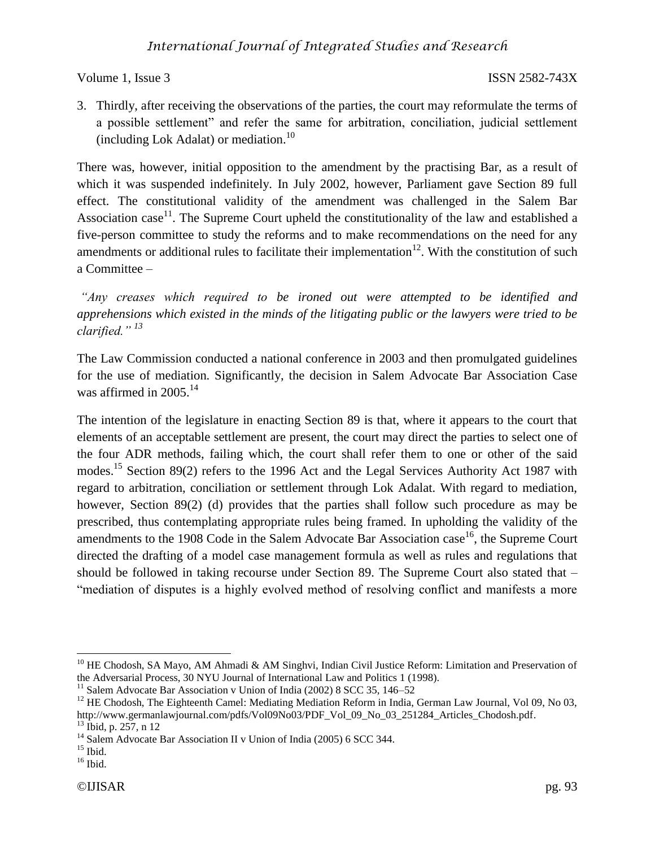3. Thirdly, after receiving the observations of the parties, the court may reformulate the terms of a possible settlement" and refer the same for arbitration, conciliation, judicial settlement (including Lok Adalat) or mediation. $10$ 

There was, however, initial opposition to the amendment by the practising Bar, as a result of which it was suspended indefinitely. In July 2002, however, Parliament gave Section 89 full effect. The constitutional validity of the amendment was challenged in the Salem Bar Association case<sup>11</sup>. The Supreme Court upheld the constitutionality of the law and established a five-person committee to study the reforms and to make recommendations on the need for any amendments or additional rules to facilitate their implementation<sup>12</sup>. With the constitution of such a Committee –

*"Any creases which required to be ironed out were attempted to be identified and apprehensions which existed in the minds of the litigating public or the lawyers were tried to be clarified." <sup>13</sup>*

The Law Commission conducted a national conference in 2003 and then promulgated guidelines for the use of mediation. Significantly, the decision in Salem Advocate Bar Association Case was affirmed in  $2005$ <sup>14</sup>

The intention of the legislature in enacting Section 89 is that, where it appears to the court that elements of an acceptable settlement are present, the court may direct the parties to select one of the four ADR methods, failing which, the court shall refer them to one or other of the said modes.<sup>15</sup> Section 89(2) refers to the 1996 Act and the Legal Services Authority Act 1987 with regard to arbitration, conciliation or settlement through Lok Adalat. With regard to mediation, however, Section 89(2) (d) provides that the parties shall follow such procedure as may be prescribed, thus contemplating appropriate rules being framed. In upholding the validity of the amendments to the 1908 Code in the Salem Advocate Bar Association case  $16$ , the Supreme Court directed the drafting of a model case management formula as well as rules and regulations that should be followed in taking recourse under Section 89. The Supreme Court also stated that – "mediation of disputes is a highly evolved method of resolving conflict and manifests a more

<sup>&</sup>lt;sup>10</sup> HE Chodosh, SA Mayo, AM Ahmadi & AM Singhvi, Indian Civil Justice Reform: Limitation and Preservation of the Adversarial Process, 30 NYU Journal of International Law and Politics 1 (1998).

<sup>&</sup>lt;sup>11</sup> Salem Advocate Bar Association v Union of India (2002) 8 SCC 35, 146–52

<sup>&</sup>lt;sup>12</sup> HE Chodosh, The Eighteenth Camel: Mediating Mediation Reform in India, German Law Journal, Vol 09, No 03, http://www.germanlawjournal.com/pdfs/Vol09No03/PDF\_Vol\_09\_No\_03\_251284\_Articles\_Chodosh.pdf. <sup>13</sup> Ibid, p. 257, n 12

<sup>&</sup>lt;sup>14</sup> Salem Advocate Bar Association II v Union of India (2005) 6 SCC 344.

 $15$  Ibid.

 $16$  Ibid.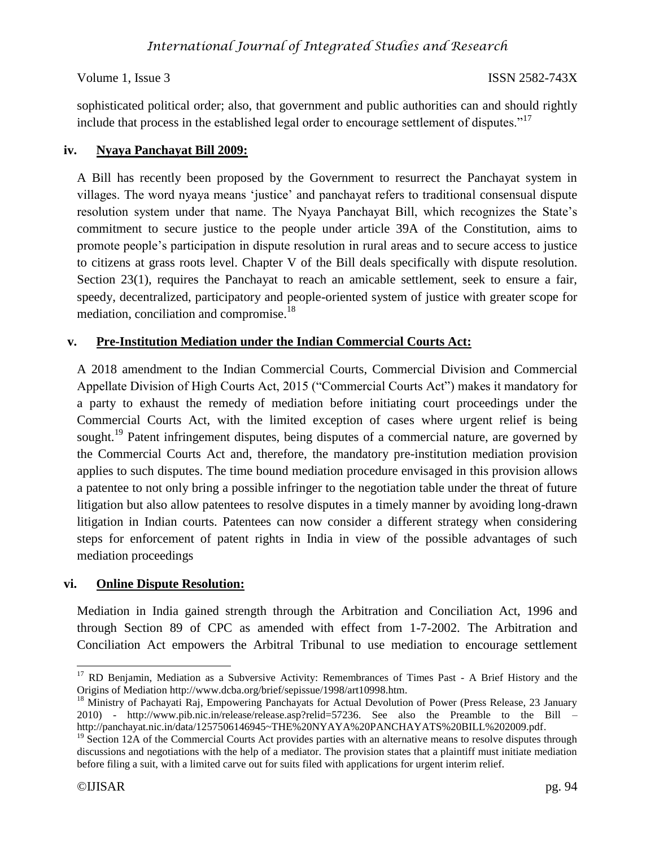sophisticated political order; also, that government and public authorities can and should rightly include that process in the established legal order to encourage settlement of disputes."<sup>17</sup>

# **iv. Nyaya Panchayat Bill 2009:**

A Bill has recently been proposed by the Government to resurrect the Panchayat system in villages. The word nyaya means 'justice' and panchayat refers to traditional consensual dispute resolution system under that name. The Nyaya Panchayat Bill, which recognizes the State's commitment to secure justice to the people under article 39A of the Constitution, aims to promote people's participation in dispute resolution in rural areas and to secure access to justice to citizens at grass roots level. Chapter V of the Bill deals specifically with dispute resolution. Section 23(1), requires the Panchayat to reach an amicable settlement, seek to ensure a fair, speedy, decentralized, participatory and people-oriented system of justice with greater scope for mediation, conciliation and compromise.<sup>18</sup>

# **v. Pre-Institution Mediation under the Indian Commercial Courts Act:**

A 2018 amendment to the Indian Commercial Courts, Commercial Division and Commercial Appellate Division of High Courts Act, 2015 ("Commercial Courts Act") makes it mandatory for a party to exhaust the remedy of mediation before initiating court proceedings under the Commercial Courts Act, with the limited exception of cases where urgent relief is being sought.<sup>19</sup> Patent infringement disputes, being disputes of a commercial nature, are governed by the Commercial Courts Act and, therefore, the mandatory pre-institution mediation provision applies to such disputes. The time bound mediation procedure envisaged in this provision allows a patentee to not only bring a possible infringer to the negotiation table under the threat of future litigation but also allow patentees to resolve disputes in a timely manner by avoiding long-drawn litigation in Indian courts. Patentees can now consider a different strategy when considering steps for enforcement of patent rights in India in view of the possible advantages of such mediation proceedings

### **vi. Online Dispute Resolution:**

Mediation in India gained strength through the Arbitration and Conciliation Act, 1996 and through Section 89 of CPC as amended with effect from 1-7-2002. The Arbitration and Conciliation Act empowers the Arbitral Tribunal to use mediation to encourage settlement

 $\overline{a}$ <sup>17</sup> RD Benjamin, Mediation as a Subversive Activity: Remembrances of Times Past - A Brief History and the Origins of Mediation http://www.dcba.org/brief/sepissue/1998/art10998.htm.

<sup>&</sup>lt;sup>18</sup> Ministry of Pachayati Raj, Empowering Panchayats for Actual Devolution of Power (Press Release, 23 January 2010) - http://www.pib.nic.in/release/release.asp?relid=57236. See also the Preamble to the Bill – http://panchayat.nic.in/data/1257506146945~THE%20NYAYA%20PANCHAYATS%20BILL%202009.pdf.

 $19\text{ Section }12\text{A}$  of the Commercial Courts Act provides parties with an alternative means to resolve disputes through discussions and negotiations with the help of a mediator. The provision states that a plaintiff must initiate mediation before filing a suit, with a limited carve out for suits filed with applications for urgent interim relief.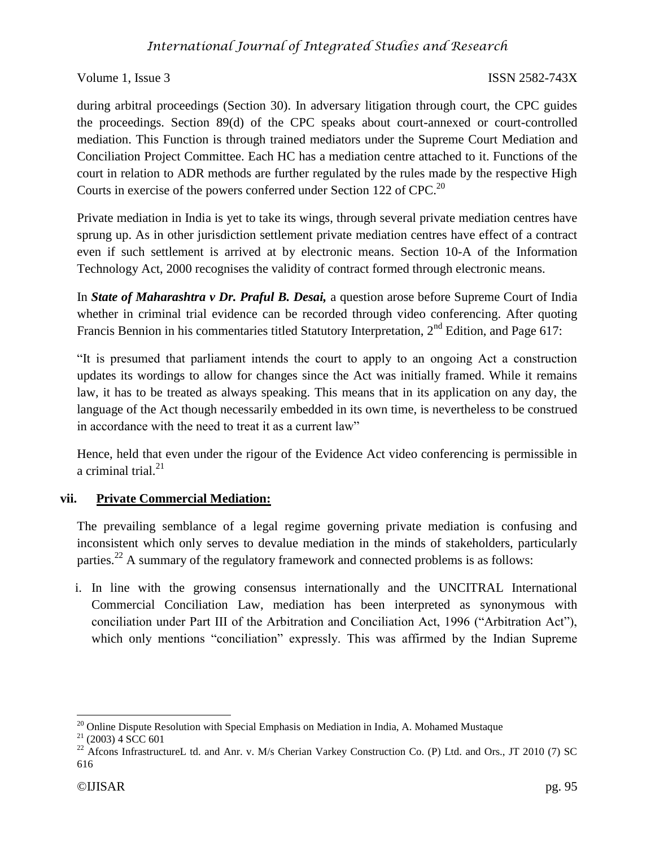during arbitral proceedings (Section 30). In adversary litigation through court, the CPC guides the proceedings. Section 89(d) of the CPC speaks about court-annexed or court-controlled mediation. This Function is through trained mediators under the Supreme Court Mediation and Conciliation Project Committee. Each HC has a mediation centre attached to it. Functions of the court in relation to ADR methods are further regulated by the rules made by the respective High Courts in exercise of the powers conferred under Section 122 of CPC.<sup>20</sup>

Private mediation in India is yet to take its wings, through several private mediation centres have sprung up. As in other jurisdiction settlement private mediation centres have effect of a contract even if such settlement is arrived at by electronic means. Section 10-A of the Information Technology Act, 2000 recognises the validity of contract formed through electronic means.

In *State of Maharashtra v Dr. Praful B. Desai,* a question arose before Supreme Court of India whether in criminal trial evidence can be recorded through video conferencing. After quoting Francis Bennion in his commentaries titled Statutory Interpretation, 2<sup>nd</sup> Edition, and Page 617:

"It is presumed that parliament intends the court to apply to an ongoing Act a construction updates its wordings to allow for changes since the Act was initially framed. While it remains law, it has to be treated as always speaking. This means that in its application on any day, the language of the Act though necessarily embedded in its own time, is nevertheless to be construed in accordance with the need to treat it as a current law"

Hence, held that even under the rigour of the Evidence Act video conferencing is permissible in a criminal trial.<sup>21</sup>

# **vii. Private Commercial Mediation:**

The prevailing semblance of a legal regime governing private mediation is confusing and inconsistent which only serves to devalue mediation in the minds of stakeholders, particularly parties.<sup>22</sup> A summary of the regulatory framework and connected problems is as follows:

i. In line with the growing consensus internationally and the UNCITRAL International Commercial Conciliation Law, mediation has been interpreted as synonymous with conciliation under Part III of the Arbitration and Conciliation Act, 1996 ("Arbitration Act"), which only mentions "conciliation" expressly. This was affirmed by the Indian Supreme

 $\overline{\phantom{a}}$  $20$  Online Dispute Resolution with Special Emphasis on Mediation in India, A. Mohamed Mustaque

 $21$  (2003) 4 SCC 601

<sup>&</sup>lt;sup>22</sup> Afcons InfrastructureL td. and Anr. v. M/s Cherian Varkey Construction Co. (P) Ltd. and Ors., JT 2010 (7) SC 616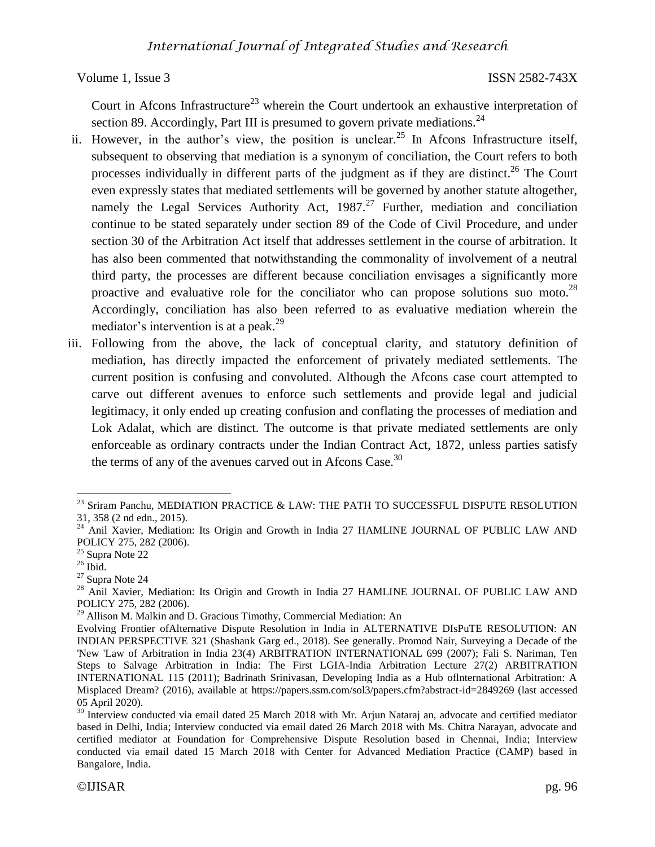Court in Afcons Infrastructure<sup>23</sup> wherein the Court undertook an exhaustive interpretation of section 89. Accordingly, Part III is presumed to govern private mediations.<sup>24</sup>

- ii. However, in the author's view, the position is unclear.<sup>25</sup> In Afcons Infrastructure itself, subsequent to observing that mediation is a synonym of conciliation, the Court refers to both processes individually in different parts of the judgment as if they are distinct.<sup>26</sup> The Court even expressly states that mediated settlements will be governed by another statute altogether, namely the Legal Services Authority Act,  $1987<sup>27</sup>$  Further, mediation and conciliation continue to be stated separately under section 89 of the Code of Civil Procedure, and under section 30 of the Arbitration Act itself that addresses settlement in the course of arbitration. It has also been commented that notwithstanding the commonality of involvement of a neutral third party, the processes are different because conciliation envisages a significantly more proactive and evaluative role for the conciliator who can propose solutions suo moto.<sup>28</sup> Accordingly, conciliation has also been referred to as evaluative mediation wherein the mediator's intervention is at a peak.<sup>29</sup>
- iii. Following from the above, the lack of conceptual clarity, and statutory definition of mediation, has directly impacted the enforcement of privately mediated settlements. The current position is confusing and convoluted. Although the Afcons case court attempted to carve out different avenues to enforce such settlements and provide legal and judicial legitimacy, it only ended up creating confusion and conflating the processes of mediation and Lok Adalat, which are distinct. The outcome is that private mediated settlements are only enforceable as ordinary contracts under the Indian Contract Act, 1872, unless parties satisfy the terms of any of the avenues carved out in Afcons Case.<sup>30</sup>

 $\overline{\phantom{a}}$ <sup>23</sup> Sriram Panchu, MEDIATION PRACTICE & LAW: THE PATH TO SUCCESSFUL DISPUTE RESOLUTION 31, 358 (2 nd edn., 2015).

<sup>&</sup>lt;sup>24</sup> Anil Xavier, Mediation: Its Origin and Growth in India 27 HAMLINE JOURNAL OF PUBLIC LAW AND POLICY 275, 282 (2006).

<sup>25</sup> Supra Note 22

 $26$  Ibid.

<sup>27</sup> Supra Note 24

<sup>&</sup>lt;sup>28</sup> Anil Xavier, Mediation: Its Origin and Growth in India 27 HAMLINE JOURNAL OF PUBLIC LAW AND POLICY 275, 282 (2006).

<sup>&</sup>lt;sup>29</sup> Allison M. Malkin and D. Gracious Timothy, Commercial Mediation: An

Evolving Frontier ofAlternative Dispute Resolution in India in ALTERNATIVE DIsPuTE RESOLUTION: AN INDIAN PERSPECTIVE 321 (Shashank Garg ed., 2018). See generally. Promod Nair, Surveying a Decade of the 'New 'Law of Arbitration in India 23(4) ARBITRATION INTERNATIONAL 699 (2007); Fali S. Nariman, Ten Steps to Salvage Arbitration in India: The First LGIA-India Arbitration Lecture 27(2) ARBITRATION INTERNATIONAL 115 (2011); Badrinath Srinivasan, Developing India as a Hub oflnternational Arbitration: A Misplaced Dream? (2016), available at https://papers.ssm.com/sol3/papers.cfm?abstract-id=2849269 (last accessed 05 April 2020).

<sup>&</sup>lt;sup>30</sup> Interview conducted via email dated 25 March 2018 with Mr. Arjun Nataraj an, advocate and certified mediator based in Delhi, India; Interview conducted via email dated 26 March 2018 with Ms. Chitra Narayan, advocate and certified mediator at Foundation for Comprehensive Dispute Resolution based in Chennai, India; Interview conducted via email dated 15 March 2018 with Center for Advanced Mediation Practice (CAMP) based in Bangalore, India.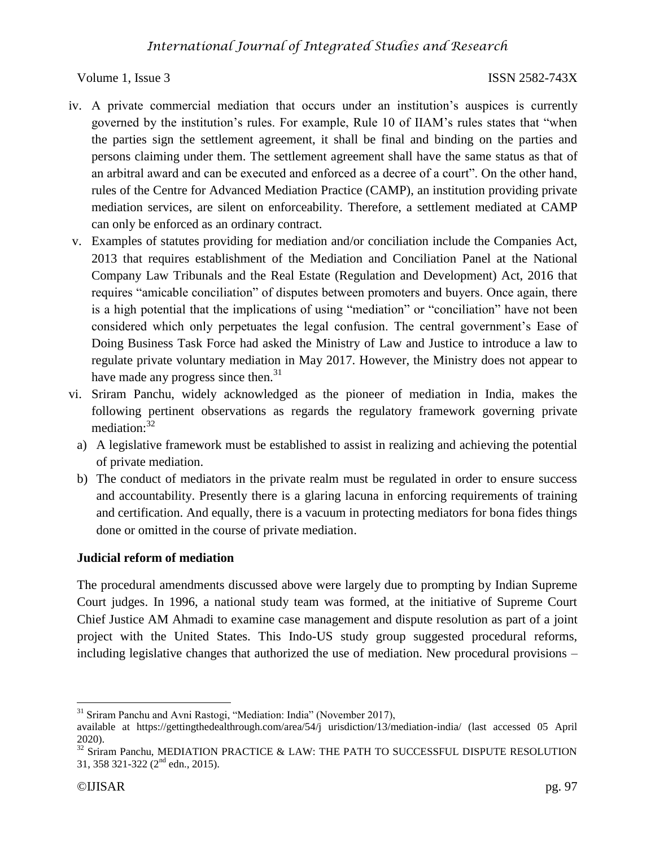- iv. A private commercial mediation that occurs under an institution's auspices is currently governed by the institution's rules. For example, Rule 10 of IIAM's rules states that "when the parties sign the settlement agreement, it shall be final and binding on the parties and persons claiming under them. The settlement agreement shall have the same status as that of an arbitral award and can be executed and enforced as a decree of a court". On the other hand, rules of the Centre for Advanced Mediation Practice (CAMP), an institution providing private mediation services, are silent on enforceability. Therefore, a settlement mediated at CAMP can only be enforced as an ordinary contract.
- v. Examples of statutes providing for mediation and/or conciliation include the Companies Act, 2013 that requires establishment of the Mediation and Conciliation Panel at the National Company Law Tribunals and the Real Estate (Regulation and Development) Act, 2016 that requires "amicable conciliation" of disputes between promoters and buyers. Once again, there is a high potential that the implications of using "mediation" or "conciliation" have not been considered which only perpetuates the legal confusion. The central government's Ease of Doing Business Task Force had asked the Ministry of Law and Justice to introduce a law to regulate private voluntary mediation in May 2017. However, the Ministry does not appear to have made any progress since then. $31$
- vi. Sriram Panchu, widely acknowledged as the pioneer of mediation in India, makes the following pertinent observations as regards the regulatory framework governing private mediation: $32$ 
	- a) A legislative framework must be established to assist in realizing and achieving the potential of private mediation.
	- b) The conduct of mediators in the private realm must be regulated in order to ensure success and accountability. Presently there is a glaring lacuna in enforcing requirements of training and certification. And equally, there is a vacuum in protecting mediators for bona fides things done or omitted in the course of private mediation.

# **Judicial reform of mediation**

The procedural amendments discussed above were largely due to prompting by Indian Supreme Court judges. In 1996, a national study team was formed, at the initiative of Supreme Court Chief Justice AM Ahmadi to examine case management and dispute resolution as part of a joint project with the United States. This Indo-US study group suggested procedural reforms, including legislative changes that authorized the use of mediation. New procedural provisions –

 $\overline{a}$ <sup>31</sup> Sriram Panchu and Avni Rastogi, "Mediation: India" (November 2017),

available at https://gettingthedealthrough.com/area/54/j urisdiction/13/mediation-india/ (last accessed 05 April 2020).

 $32$  Sriram Panchu, MEDIATION PRACTICE & LAW: THE PATH TO SUCCESSFUL DISPUTE RESOLUTION 31, 358 321-322 (2nd edn., 2015).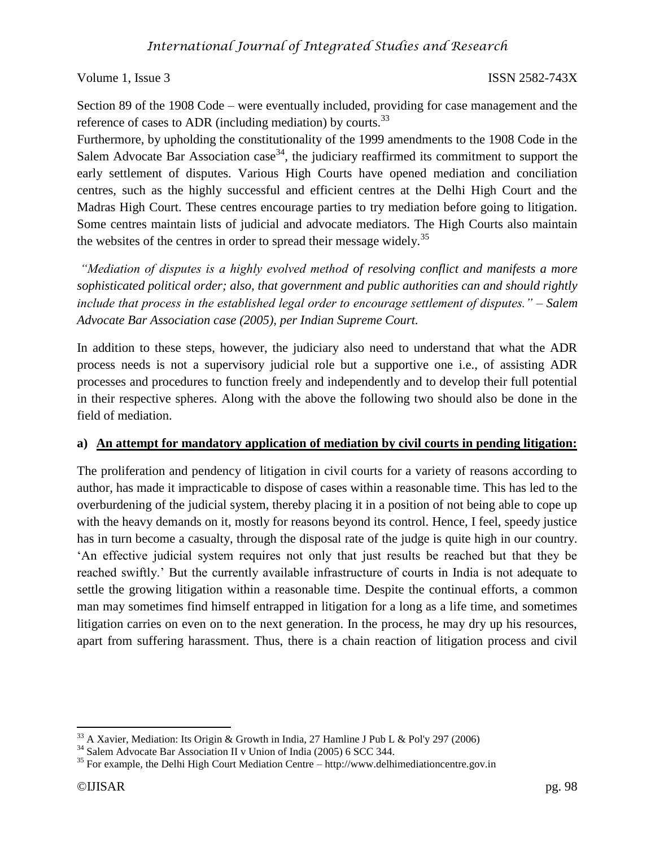Section 89 of the 1908 Code – were eventually included, providing for case management and the reference of cases to ADR (including mediation) by courts.<sup>33</sup>

Furthermore, by upholding the constitutionality of the 1999 amendments to the 1908 Code in the Salem Advocate Bar Association case<sup>34</sup>, the judiciary reaffirmed its commitment to support the early settlement of disputes. Various High Courts have opened mediation and conciliation centres, such as the highly successful and efficient centres at the Delhi High Court and the Madras High Court. These centres encourage parties to try mediation before going to litigation. Some centres maintain lists of judicial and advocate mediators. The High Courts also maintain the websites of the centres in order to spread their message widely.<sup>35</sup>

*"Mediation of disputes is a highly evolved method of resolving conflict and manifests a more sophisticated political order; also, that government and public authorities can and should rightly include that process in the established legal order to encourage settlement of disputes." – Salem Advocate Bar Association case (2005), per Indian Supreme Court.*

In addition to these steps, however, the judiciary also need to understand that what the ADR process needs is not a supervisory judicial role but a supportive one i.e., of assisting ADR processes and procedures to function freely and independently and to develop their full potential in their respective spheres. Along with the above the following two should also be done in the field of mediation.

# **a) An attempt for mandatory application of mediation by civil courts in pending litigation:**

The proliferation and pendency of litigation in civil courts for a variety of reasons according to author, has made it impracticable to dispose of cases within a reasonable time. This has led to the overburdening of the judicial system, thereby placing it in a position of not being able to cope up with the heavy demands on it, mostly for reasons beyond its control. Hence, I feel, speedy justice has in turn become a casualty, through the disposal rate of the judge is quite high in our country. 'An effective judicial system requires not only that just results be reached but that they be reached swiftly.' But the currently available infrastructure of courts in India is not adequate to settle the growing litigation within a reasonable time. Despite the continual efforts, a common man may sometimes find himself entrapped in litigation for a long as a life time, and sometimes litigation carries on even on to the next generation. In the process, he may dry up his resources, apart from suffering harassment. Thus, there is a chain reaction of litigation process and civil

 $33$  A Xavier, Mediation: Its Origin & Growth in India, 27 Hamline J Pub L & Pol'y 297 (2006)

<sup>34</sup> Salem Advocate Bar Association II v Union of India (2005) 6 SCC 344.

 $35$  For example, the Delhi High Court Mediation Centre – http://www.delhimediationcentre.gov.in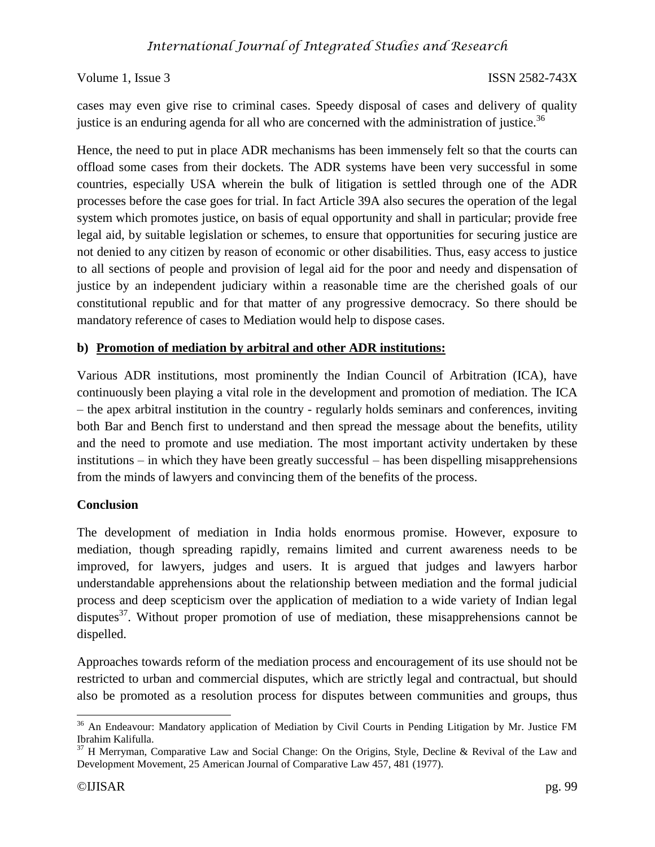cases may even give rise to criminal cases. Speedy disposal of cases and delivery of quality justice is an enduring agenda for all who are concerned with the administration of justice.<sup>36</sup>

Hence, the need to put in place ADR mechanisms has been immensely felt so that the courts can offload some cases from their dockets. The ADR systems have been very successful in some countries, especially USA wherein the bulk of litigation is settled through one of the ADR processes before the case goes for trial. In fact Article 39A also secures the operation of the legal system which promotes justice, on basis of equal opportunity and shall in particular; provide free legal aid, by suitable legislation or schemes, to ensure that opportunities for securing justice are not denied to any citizen by reason of economic or other disabilities. Thus, easy access to justice to all sections of people and provision of legal aid for the poor and needy and dispensation of justice by an independent judiciary within a reasonable time are the cherished goals of our constitutional republic and for that matter of any progressive democracy. So there should be mandatory reference of cases to Mediation would help to dispose cases.

### **b) Promotion of mediation by arbitral and other ADR institutions:**

Various ADR institutions, most prominently the Indian Council of Arbitration (ICA), have continuously been playing a vital role in the development and promotion of mediation. The ICA – the apex arbitral institution in the country - regularly holds seminars and conferences, inviting both Bar and Bench first to understand and then spread the message about the benefits, utility and the need to promote and use mediation. The most important activity undertaken by these institutions – in which they have been greatly successful – has been dispelling misapprehensions from the minds of lawyers and convincing them of the benefits of the process.

### **Conclusion**

The development of mediation in India holds enormous promise. However, exposure to mediation, though spreading rapidly, remains limited and current awareness needs to be improved, for lawyers, judges and users. It is argued that judges and lawyers harbor understandable apprehensions about the relationship between mediation and the formal judicial process and deep scepticism over the application of mediation to a wide variety of Indian legal disputes $37$ . Without proper promotion of use of mediation, these misapprehensions cannot be dispelled.

Approaches towards reform of the mediation process and encouragement of its use should not be restricted to urban and commercial disputes, which are strictly legal and contractual, but should also be promoted as a resolution process for disputes between communities and groups, thus

 $36$  An Endeavour: Mandatory application of Mediation by Civil Courts in Pending Litigation by Mr. Justice FM Ibrahim Kalifulla.

 $37$  H Merryman, Comparative Law and Social Change: On the Origins, Style, Decline & Revival of the Law and Development Movement, 25 American Journal of Comparative Law 457, 481 (1977).